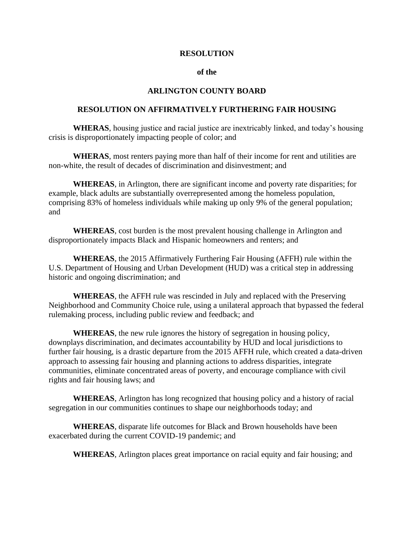## **RESOLUTION**

## **of the**

## **ARLINGTON COUNTY BOARD**

## **RESOLUTION ON AFFIRMATIVELY FURTHERING FAIR HOUSING**

**WHERAS**, housing justice and racial justice are inextricably linked, and today's housing crisis is disproportionately impacting people of color; and

**WHERAS**, most renters paying more than half of their income for rent and utilities are non-white, the result of decades of discrimination and disinvestment; and

**WHEREAS**, in Arlington, there are significant income and poverty rate disparities; for example, black adults are substantially overrepresented among the homeless population, comprising 83% of homeless individuals while making up only 9% of the general population; and

**WHEREAS**, cost burden is the most prevalent housing challenge in Arlington and disproportionately impacts Black and Hispanic homeowners and renters; and

**WHEREAS**, the 2015 Affirmatively Furthering Fair Housing (AFFH) rule within the U.S. Department of Housing and Urban Development (HUD) was a critical step in addressing historic and ongoing discrimination; and

**WHEREAS**, the AFFH rule was rescinded in July and replaced with the Preserving Neighborhood and Community Choice rule, using a unilateral approach that bypassed the federal rulemaking process, including public review and feedback; and

**WHEREAS**, the new rule ignores the history of segregation in housing policy, downplays discrimination, and decimates accountability by HUD and local jurisdictions to further fair housing, is a drastic departure from the 2015 AFFH rule, which created a data-driven approach to assessing fair housing and planning actions to address disparities, integrate communities, eliminate concentrated areas of poverty, and encourage compliance with civil rights and fair housing laws; and

**WHEREAS**, Arlington has long recognized that housing policy and a history of racial segregation in our communities continues to shape our neighborhoods today; and

**WHEREAS**, disparate life outcomes for Black and Brown households have been exacerbated during the current COVID-19 pandemic; and

**WHEREAS**, Arlington places great importance on racial equity and fair housing; and